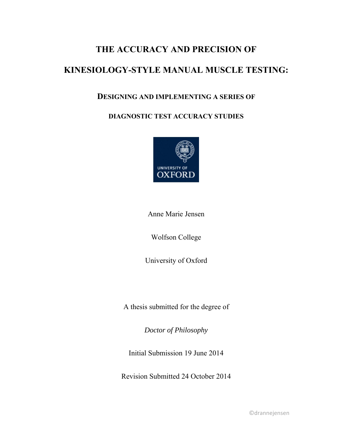# **THE ACCURACY AND PRECISION OF**

# **KINESIOLOGY-STYLE MANUAL MUSCLE TESTING:**

# **DESIGNING AND IMPLEMENTING A SERIES OF**

# **DIAGNOSTIC TEST ACCURACY STUDIES**



Anne Marie Jensen

Wolfson College

University of Oxford

A thesis submitted for the degree of

*Doctor of Philosophy* 

Initial Submission 19 June 2014

Revision Submitted 24 October 2014

©drannejensen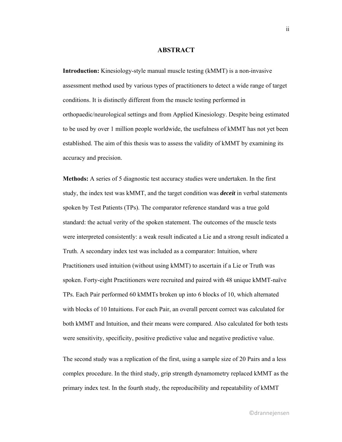### **ABSTRACT**

**Introduction:** Kinesiology-style manual muscle testing (kMMT) is a non-invasive assessment method used by various types of practitioners to detect a wide range of target conditions. It is distinctly different from the muscle testing performed in orthopaedic/neurological settings and from Applied Kinesiology. Despite being estimated to be used by over 1 million people worldwide, the usefulness of kMMT has not yet been established. The aim of this thesis was to assess the validity of kMMT by examining its accuracy and precision.

**Methods:** A series of 5 diagnostic test accuracy studies were undertaken. In the first study, the index test was kMMT, and the target condition was *deceit* in verbal statements spoken by Test Patients (TPs). The comparator reference standard was a true gold standard: the actual verity of the spoken statement. The outcomes of the muscle tests were interpreted consistently: a weak result indicated a Lie and a strong result indicated a Truth. A secondary index test was included as a comparator: Intuition, where Practitioners used intuition (without using kMMT) to ascertain if a Lie or Truth was spoken. Forty-eight Practitioners were recruited and paired with 48 unique kMMT-naïve TPs. Each Pair performed 60 kMMTs broken up into 6 blocks of 10, which alternated with blocks of 10 Intuitions. For each Pair, an overall percent correct was calculated for both kMMT and Intuition, and their means were compared. Also calculated for both tests were sensitivity, specificity, positive predictive value and negative predictive value.

The second study was a replication of the first, using a sample size of 20 Pairs and a less complex procedure. In the third study, grip strength dynamometry replaced kMMT as the primary index test. In the fourth study, the reproducibility and repeatability of kMMT

ii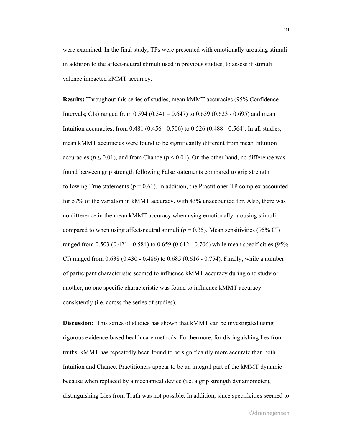were examined. In the final study, TPs were presented with emotionally-arousing stimuli in addition to the affect-neutral stimuli used in previous studies, to assess if stimuli valence impacted kMMT accuracy.

**Results:** Throughout this series of studies, mean kMMT accuracies (95% Confidence Intervals; CIs) ranged from  $0.594 (0.541 - 0.647)$  to  $0.659 (0.623 - 0.695)$  and mean Intuition accuracies, from 0.481 (0.456 - 0.506) to 0.526 (0.488 - 0.564). In all studies, mean kMMT accuracies were found to be significantly different from mean Intuition accuracies ( $p \le 0.01$ ), and from Chance ( $p \le 0.01$ ). On the other hand, no difference was found between grip strength following False statements compared to grip strength following True statements ( $p = 0.61$ ). In addition, the Practitioner-TP complex accounted for 57% of the variation in kMMT accuracy, with 43% unaccounted for. Also, there was no difference in the mean kMMT accuracy when using emotionally-arousing stimuli compared to when using affect-neutral stimuli ( $p = 0.35$ ). Mean sensitivities (95% CI) ranged from 0.503 (0.421 - 0.584) to 0.659 (0.612 - 0.706) while mean specificities (95% CI) ranged from 0.638 (0.430 - 0.486) to 0.685 (0.616 - 0.754). Finally, while a number of participant characteristic seemed to influence kMMT accuracy during one study or another, no one specific characteristic was found to influence kMMT accuracy consistently (i.e. across the series of studies).

**Discussion:** This series of studies has shown that kMMT can be investigated using rigorous evidence-based health care methods. Furthermore, for distinguishing lies from truths, kMMT has repeatedly been found to be significantly more accurate than both Intuition and Chance. Practitioners appear to be an integral part of the kMMT dynamic because when replaced by a mechanical device (i.e. a grip strength dynamometer), distinguishing Lies from Truth was not possible. In addition, since specificities seemed to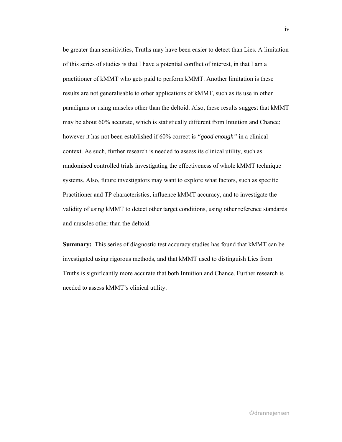be greater than sensitivities, Truths may have been easier to detect than Lies. A limitation of this series of studies is that I have a potential conflict of interest, in that I am a practitioner of kMMT who gets paid to perform kMMT. Another limitation is these results are not generalisable to other applications of kMMT, such as its use in other paradigms or using muscles other than the deltoid. Also, these results suggest that kMMT may be about 60% accurate, which is statistically different from Intuition and Chance; however it has not been established if 60% correct is *"good enough"* in a clinical context. As such, further research is needed to assess its clinical utility, such as randomised controlled trials investigating the effectiveness of whole kMMT technique systems. Also, future investigators may want to explore what factors, such as specific Practitioner and TP characteristics, influence kMMT accuracy, and to investigate the validity of using kMMT to detect other target conditions, using other reference standards and muscles other than the deltoid.

**Summary:** This series of diagnostic test accuracy studies has found that kMMT can be investigated using rigorous methods, and that kMMT used to distinguish Lies from Truths is significantly more accurate that both Intuition and Chance. Further research is needed to assess kMMT's clinical utility.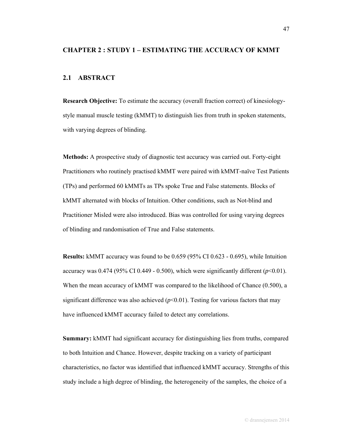#### **CHAPTER 2 : STUDY 1 – ESTIMATING THE ACCURACY OF KMMT**

## **2.1 ABSTRACT**

**Research Objective:** To estimate the accuracy (overall fraction correct) of kinesiologystyle manual muscle testing (kMMT) to distinguish lies from truth in spoken statements, with varying degrees of blinding.

**Methods:** A prospective study of diagnostic test accuracy was carried out. Forty-eight Practitioners who routinely practised kMMT were paired with kMMT-naïve Test Patients (TPs) and performed 60 kMMTs as TPs spoke True and False statements. Blocks of kMMT alternated with blocks of Intuition. Other conditions, such as Not-blind and Practitioner Misled were also introduced. Bias was controlled for using varying degrees of blinding and randomisation of True and False statements.

**Results:** kMMT accuracy was found to be 0.659 (95% CI 0.623 - 0.695), while Intuition accuracy was  $0.474$  (95% CI 0.449 - 0.500), which were significantly different ( $p<0.01$ ). When the mean accuracy of kMMT was compared to the likelihood of Chance (0.500), a significant difference was also achieved  $(p<0.01)$ . Testing for various factors that may have influenced kMMT accuracy failed to detect any correlations.

**Summary:** kMMT had significant accuracy for distinguishing lies from truths, compared to both Intuition and Chance. However, despite tracking on a variety of participant characteristics, no factor was identified that influenced kMMT accuracy. Strengths of this study include a high degree of blinding, the heterogeneity of the samples, the choice of a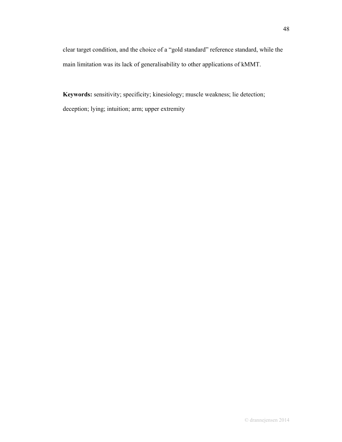clear target condition, and the choice of a "gold standard" reference standard, while the main limitation was its lack of generalisability to other applications of kMMT.

**Keywords:** sensitivity; specificity; kinesiology; muscle weakness; lie detection; deception; lying; intuition; arm; upper extremity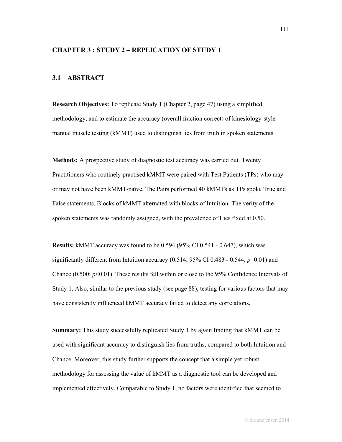## **CHAPTER 3 : STUDY 2 – REPLICATION OF STUDY 1**

# **3.1 ABSTRACT**

**Research Objectives:** To replicate Study 1 (Chapter 2, page 47) using a simplified methodology, and to estimate the accuracy (overall fraction correct) of kinesiology-style manual muscle testing (kMMT) used to distinguish lies from truth in spoken statements.

**Methods:** A prospective study of diagnostic test accuracy was carried out. Twenty Practitioners who routinely practised kMMT were paired with Test Patients (TPs) who may or may not have been kMMT-naïve. The Pairs performed 40 kMMTs as TPs spoke True and False statements. Blocks of kMMT alternated with blocks of Intuition. The verity of the spoken statements was randomly assigned, with the prevalence of Lies fixed at 0.50.

**Results:** kMMT accuracy was found to be 0.594 (95% CI 0.541 - 0.647), which was significantly different from Intuition accuracy (0.514; 95% CI 0.483 - 0.544; *p*=0.01) and Chance (0.500; *p*<0.01). These results fell within or close to the 95% Confidence Intervals of Study 1. Also, similar to the previous study (see page 88), testing for various factors that may have consistently influenced kMMT accuracy failed to detect any correlations.

**Summary:** This study successfully replicated Study 1 by again finding that kMMT can be used with significant accuracy to distinguish lies from truths, compared to both Intuition and Chance. Moreover, this study further supports the concept that a simple yet robust methodology for assessing the value of kMMT as a diagnostic tool can be developed and implemented effectively. Comparable to Study 1, no factors were identified that seemed to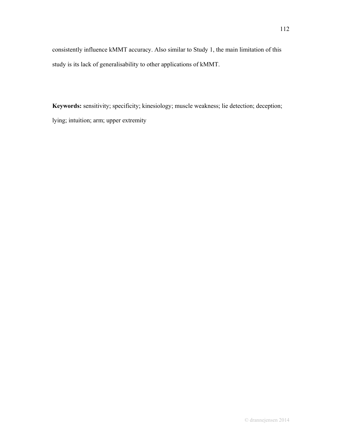consistently influence kMMT accuracy. Also similar to Study 1, the main limitation of this study is its lack of generalisability to other applications of kMMT.

**Keywords:** sensitivity; specificity; kinesiology; muscle weakness; lie detection; deception; lying; intuition; arm; upper extremity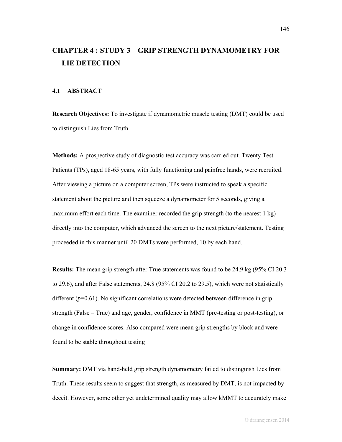# **CHAPTER 4 : STUDY 3 – GRIP STRENGTH DYNAMOMETRY FOR LIE DETECTION**

### **4.1 ABSTRACT**

**Research Objectives:** To investigate if dynamometric muscle testing (DMT) could be used to distinguish Lies from Truth.

**Methods:** A prospective study of diagnostic test accuracy was carried out. Twenty Test Patients (TPs), aged 18-65 years, with fully functioning and painfree hands, were recruited. After viewing a picture on a computer screen, TPs were instructed to speak a specific statement about the picture and then squeeze a dynamometer for 5 seconds, giving a maximum effort each time. The examiner recorded the grip strength (to the nearest  $1 \text{ kg}$ ) directly into the computer, which advanced the screen to the next picture/statement. Testing proceeded in this manner until 20 DMTs were performed, 10 by each hand.

**Results:** The mean grip strength after True statements was found to be 24.9 kg (95% CI 20.3 to 29.6), and after False statements, 24.8 (95% CI 20.2 to 29.5), which were not statistically different  $(p=0.61)$ . No significant correlations were detected between difference in grip strength (False – True) and age, gender, confidence in MMT (pre-testing or post-testing), or change in confidence scores. Also compared were mean grip strengths by block and were found to be stable throughout testing

**Summary:** DMT via hand-held grip strength dynamometry failed to distinguish Lies from Truth. These results seem to suggest that strength, as measured by DMT, is not impacted by deceit. However, some other yet undetermined quality may allow kMMT to accurately make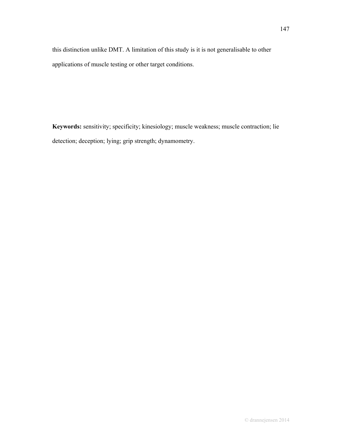this distinction unlike DMT. A limitation of this study is it is not generalisable to other applications of muscle testing or other target conditions.

**Keywords:** sensitivity; specificity; kinesiology; muscle weakness; muscle contraction; lie detection; deception; lying; grip strength; dynamometry.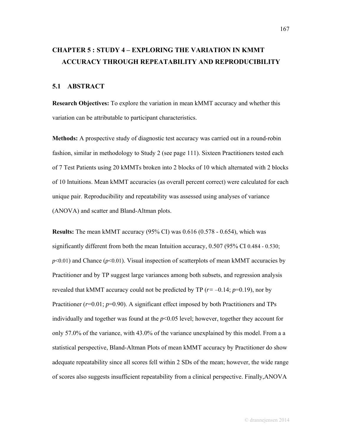# **CHAPTER 5 : STUDY 4 – EXPLORING THE VARIATION IN KMMT ACCURACY THROUGH REPEATABILITY AND REPRODUCIBILITY**

# **5.1 ABSTRACT**

**Research Objectives:** To explore the variation in mean kMMT accuracy and whether this variation can be attributable to participant characteristics.

**Methods:** A prospective study of diagnostic test accuracy was carried out in a round-robin fashion, similar in methodology to Study 2 (see page 111). Sixteen Practitioners tested each of 7 Test Patients using 20 kMMTs broken into 2 blocks of 10 which alternated with 2 blocks of 10 Intuitions. Mean kMMT accuracies (as overall percent correct) were calculated for each unique pair. Reproducibility and repeatability was assessed using analyses of variance (ANOVA) and scatter and Bland-Altman plots.

**Results:** The mean kMMT accuracy (95% CI) was 0.616 (0.578 - 0.654), which was significantly different from both the mean Intuition accuracy, 0.507 (95% CI 0.484 - 0.530;  $p<0.01$ ) and Chance ( $p<0.01$ ). Visual inspection of scatterplots of mean kMMT accuracies by Practitioner and by TP suggest large variances among both subsets, and regression analysis revealed that kMMT accuracy could not be predicted by TP ( $r = -0.14$ ;  $p=0.19$ ), nor by Practitioner ( $r=0.01$ ;  $p=0.90$ ). A significant effect imposed by both Practitioners and TPs individually and together was found at the  $p<0.05$  level; however, together they account for only 57.0% of the variance, with 43.0% of the variance unexplained by this model. From a a statistical perspective, Bland-Altman Plots of mean kMMT accuracy by Practitioner do show adequate repeatability since all scores fell within 2 SDs of the mean; however, the wide range of scores also suggests insufficient repeatability from a clinical perspective. Finally,ANOVA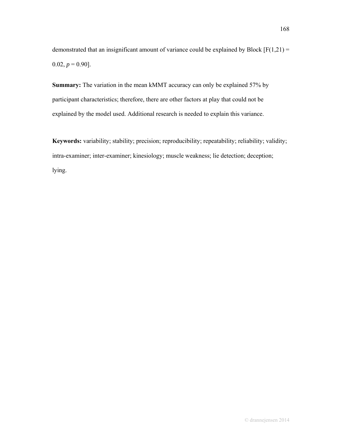demonstrated that an insignificant amount of variance could be explained by Block  $[F(1,21) =$  $0.02, p = 0.90$ ].

**Summary:** The variation in the mean kMMT accuracy can only be explained 57% by participant characteristics; therefore, there are other factors at play that could not be explained by the model used. Additional research is needed to explain this variance.

**Keywords:** variability; stability; precision; reproducibility; repeatability; reliability; validity; intra-examiner; inter-examiner; kinesiology; muscle weakness; lie detection; deception; lying.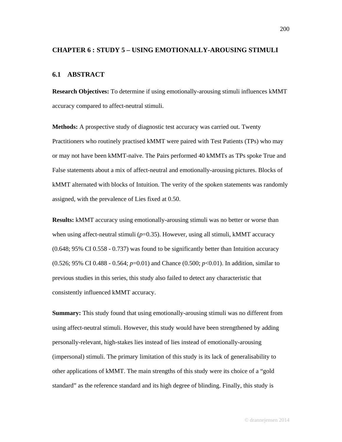#### **CHAPTER 6 : STUDY 5 – USING EMOTIONALLY-AROUSING STIMULI**

#### **6.1 ABSTRACT**

**Research Objectives:** To determine if using emotionally-arousing stimuli influences kMMT accuracy compared to affect-neutral stimuli.

**Methods:** A prospective study of diagnostic test accuracy was carried out. Twenty Practitioners who routinely practised kMMT were paired with Test Patients (TPs) who may or may not have been kMMT-naïve. The Pairs performed 40 kMMTs as TPs spoke True and False statements about a mix of affect-neutral and emotionally-arousing pictures. Blocks of kMMT alternated with blocks of Intuition. The verity of the spoken statements was randomly assigned, with the prevalence of Lies fixed at 0.50.

**Results:** kMMT accuracy using emotionally-arousing stimuli was no better or worse than when using affect-neutral stimuli  $(p=0.35)$ . However, using all stimuli, kMMT accuracy (0.648; 95% CI 0.558 - 0.737) was found to be significantly better than Intuition accuracy (0.526; 95% CI 0.488 - 0.564; *p*=0.01) and Chance (0.500; *p*<0.01). In addition, similar to previous studies in this series, this study also failed to detect any characteristic that consistently influenced kMMT accuracy.

**Summary:** This study found that using emotionally-arousing stimuli was no different from using affect-neutral stimuli. However, this study would have been strengthened by adding personally-relevant, high-stakes lies instead of lies instead of emotionally-arousing (impersonal) stimuli. The primary limitation of this study is its lack of generalisability to other applications of kMMT. The main strengths of this study were its choice of a "gold standard" as the reference standard and its high degree of blinding. Finally, this study is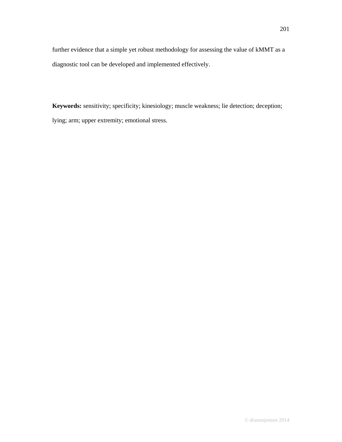further evidence that a simple yet robust methodology for assessing the value of kMMT as a diagnostic tool can be developed and implemented effectively.

**Keywords:** sensitivity; specificity; kinesiology; muscle weakness; lie detection; deception; lying; arm; upper extremity; emotional stress.